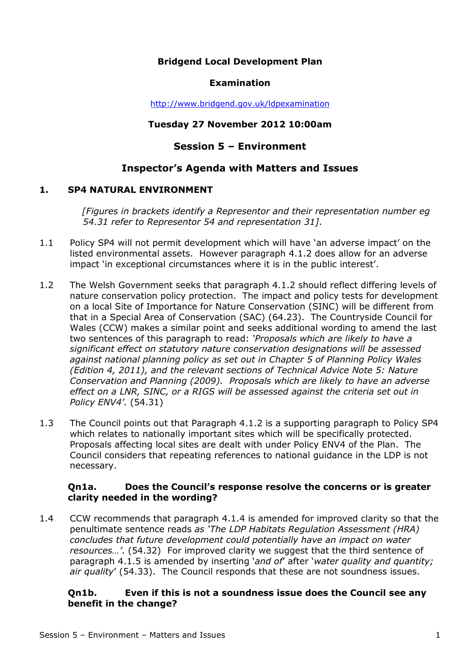# **Bridgend Local Development Plan**

#### **Examination**

http://www.bridgend.gov.uk/ldpexamination

#### **Tuesday 27 November 2012 10:00am**

# **Session 5 – Environment**

# **Inspector's Agenda with Matters and Issues**

#### **1. SP4 NATURAL ENVIRONMENT**

*[Figures in brackets identify a Representor and their representation number eg 54.31 refer to Representor 54 and representation 31]*.

- 1.1 Policy SP4 will not permit development which will have 'an adverse impact' on the listed environmental assets. However paragraph 4.1.2 does allow for an adverse impact 'in exceptional circumstances where it is in the public interest'.
- 1.2 The Welsh Government seeks that paragraph 4.1.2 should reflect differing levels of nature conservation policy protection. The impact and policy tests for development on a local Site of Importance for Nature Conservation (SINC) will be different from that in a Special Area of Conservation (SAC) (64.23). The Countryside Council for Wales (CCW) makes a similar point and seeks additional wording to amend the last two sentences of this paragraph to read: *'Proposals which are likely to have a significant effect on statutory nature conservation designations will be assessed against national planning policy as set out in Chapter 5 of Planning Policy Wales (Edition 4, 2011), and the relevant sections of Technical Advice Note 5: Nature Conservation and Planning (2009). Proposals which are likely to have an adverse effect on a LNR, SINC, or a RIGS will be assessed against the criteria set out in Policy ENV4'.* (54.31)
- 1.3 The Council points out that Paragraph 4.1.2 is a supporting paragraph to Policy SP4 which relates to nationally important sites which will be specifically protected. Proposals affecting local sites are dealt with under Policy ENV4 of the Plan. The Council considers that repeating references to national guidance in the LDP is not necessary.

#### **Qn1a. Does the Council's response resolve the concerns or is greater clarity needed in the wording?**

1.4 CCW recommends that paragraph 4.1.4 is amended for improved clarity so that the penultimate sentence reads *as 'The LDP Habitats Regulation Assessment (HRA) concludes that future development could potentially have an impact on water resources…'*. (54.32) For improved clarity we suggest that the third sentence of paragraph 4.1.5 is amended by inserting '*and of*' after '*water quality and quantity; air quality*' (54.33). The Council responds that these are not soundness issues.

## **Qn1b. Even if this is not a soundness issue does the Council see any benefit in the change?**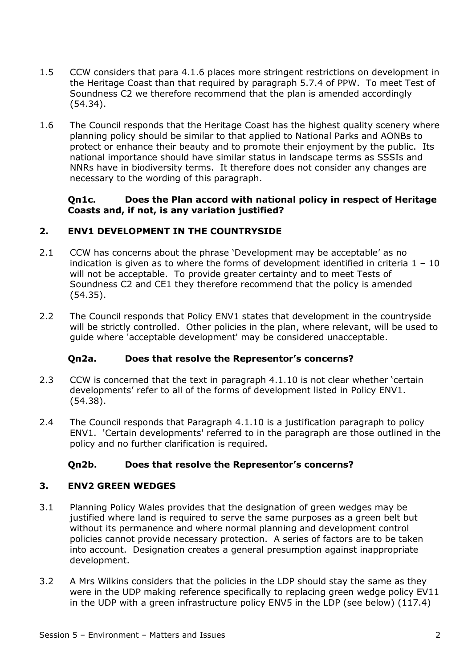- 1.5 CCW considers that para 4.1.6 places more stringent restrictions on development in the Heritage Coast than that required by paragraph 5.7.4 of PPW. To meet Test of Soundness C2 we therefore recommend that the plan is amended accordingly (54.34).
- 1.6 The Council responds that the Heritage Coast has the highest quality scenery where planning policy should be similar to that applied to National Parks and AONBs to protect or enhance their beauty and to promote their enjoyment by the public. Its national importance should have similar status in landscape terms as SSSIs and NNRs have in biodiversity terms. It therefore does not consider any changes are necessary to the wording of this paragraph.

# **Qn1c. Does the Plan accord with national policy in respect of Heritage Coasts and, if not, is any variation justified?**

# **2. ENV1 DEVELOPMENT IN THE COUNTRYSIDE**

- 2.1 CCW has concerns about the phrase 'Development may be acceptable' as no indication is given as to where the forms of development identified in criteria  $1 - 10$ will not be acceptable. To provide greater certainty and to meet Tests of Soundness C2 and CE1 they therefore recommend that the policy is amended (54.35).
- 2.2 The Council responds that Policy ENV1 states that development in the countryside will be strictly controlled. Other policies in the plan, where relevant, will be used to guide where 'acceptable development' may be considered unacceptable.

# **Qn2a. Does that resolve the Representor's concerns?**

- 2.3 CCW is concerned that the text in paragraph 4.1.10 is not clear whether 'certain developments' refer to all of the forms of development listed in Policy ENV1. (54.38).
- 2.4 The Council responds that Paragraph 4.1.10 is a justification paragraph to policy ENV1. 'Certain developments' referred to in the paragraph are those outlined in the policy and no further clarification is required.

# **Qn2b. Does that resolve the Representor's concerns?**

## **3. ENV2 GREEN WEDGES**

- 3.1 Planning Policy Wales provides that the designation of green wedges may be justified where land is required to serve the same purposes as a green belt but without its permanence and where normal planning and development control policies cannot provide necessary protection. A series of factors are to be taken into account. Designation creates a general presumption against inappropriate development.
- 3.2 A Mrs Wilkins considers that the policies in the LDP should stay the same as they were in the UDP making reference specifically to replacing green wedge policy EV11 in the UDP with a green infrastructure policy ENV5 in the LDP (see below) (117.4)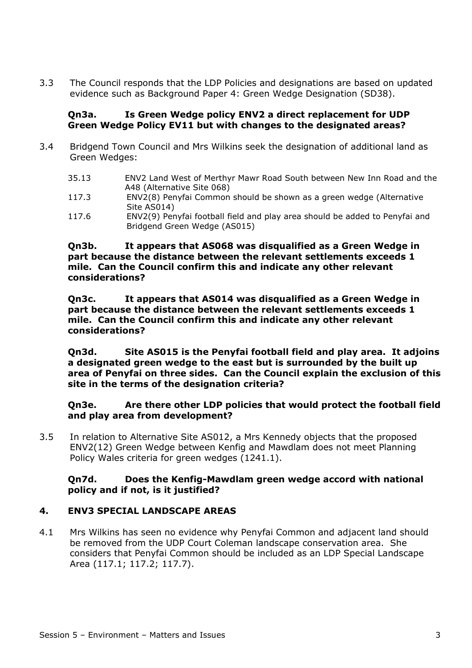3.3 The Council responds that the LDP Policies and designations are based on updated evidence such as Background Paper 4: Green Wedge Designation (SD38).

# **Qn3a. Is Green Wedge policy ENV2 a direct replacement for UDP Green Wedge Policy EV11 but with changes to the designated areas?**

- 3.4 Bridgend Town Council and Mrs Wilkins seek the designation of additional land as Green Wedges:
	- 35.13 ENV2 Land West of Merthyr Mawr Road South between New Inn Road and the A48 (Alternative Site 068)
	- 117.3 ENV2(8) Penyfai Common should be shown as a green wedge (Alternative Site AS014)
	- 117.6 ENV2(9) Penyfai football field and play area should be added to Penyfai and Bridgend Green Wedge (AS015)

#### **Qn3b. It appears that AS068 was disqualified as a Green Wedge in part because the distance between the relevant settlements exceeds 1 mile. Can the Council confirm this and indicate any other relevant considerations?**

**Qn3c. It appears that AS014 was disqualified as a Green Wedge in part because the distance between the relevant settlements exceeds 1 mile. Can the Council confirm this and indicate any other relevant considerations?** 

**Qn3d. Site AS015 is the Penyfai football field and play area. It adjoins a designated green wedge to the east but is surrounded by the built up area of Penyfai on three sides. Can the Council explain the exclusion of this site in the terms of the designation criteria?** 

**Qn3e. Are there other LDP policies that would protect the football field and play area from development?** 

3.5 In relation to Alternative Site AS012, a Mrs Kennedy objects that the proposed ENV2(12) Green Wedge between Kenfig and Mawdlam does not meet Planning Policy Wales criteria for green wedges (1241.1).

## **Qn7d. Does the Kenfig-Mawdlam green wedge accord with national policy and if not, is it justified?**

# **4. ENV3 SPECIAL LANDSCAPE AREAS**

4.1 Mrs Wilkins has seen no evidence why Penyfai Common and adjacent land should be removed from the UDP Court Coleman landscape conservation area. She considers that Penyfai Common should be included as an LDP Special Landscape Area (117.1; 117.2; 117.7).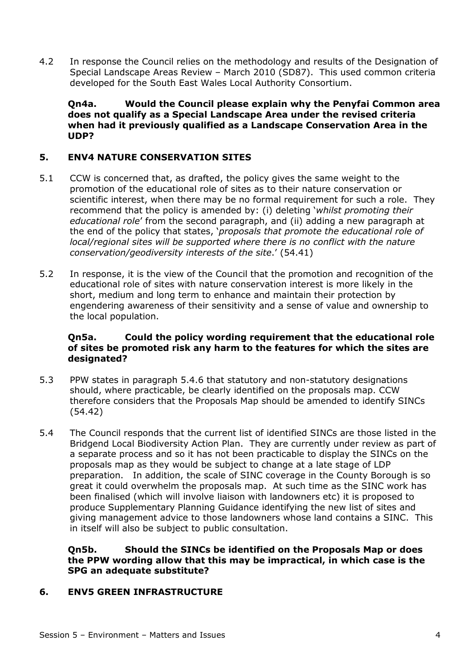4.2 In response the Council relies on the methodology and results of the Designation of Special Landscape Areas Review – March 2010 (SD87). This used common criteria developed for the South East Wales Local Authority Consortium.

**Qn4a. Would the Council please explain why the Penyfai Common area does not qualify as a Special Landscape Area under the revised criteria when had it previously qualified as a Landscape Conservation Area in the UDP?** 

# **5. ENV4 NATURE CONSERVATION SITES**

- 5.1 CCW is concerned that, as drafted, the policy gives the same weight to the promotion of the educational role of sites as to their nature conservation or scientific interest, when there may be no formal requirement for such a role. They recommend that the policy is amended by: (i) deleting '*whilst promoting their educational role*' from the second paragraph, and (ii) adding a new paragraph at the end of the policy that states, '*proposals that promote the educational role of local/regional sites will be supported where there is no conflict with the nature conservation/geodiversity interests of the site*.' (54.41)
- 5.2 In response, it is the view of the Council that the promotion and recognition of the educational role of sites with nature conservation interest is more likely in the short, medium and long term to enhance and maintain their protection by engendering awareness of their sensitivity and a sense of value and ownership to the local population.

#### **Qn5a. Could the policy wording requirement that the educational role of sites be promoted risk any harm to the features for which the sites are designated?**

- 5.3 PPW states in paragraph 5.4.6 that statutory and non-statutory designations should, where practicable, be clearly identified on the proposals map. CCW therefore considers that the Proposals Map should be amended to identify SINCs (54.42)
- 5.4 The Council responds that the current list of identified SINCs are those listed in the Bridgend Local Biodiversity Action Plan. They are currently under review as part of a separate process and so it has not been practicable to display the SINCs on the proposals map as they would be subject to change at a late stage of LDP preparation. In addition, the scale of SINC coverage in the County Borough is so great it could overwhelm the proposals map. At such time as the SINC work has been finalised (which will involve liaison with landowners etc) it is proposed to produce Supplementary Planning Guidance identifying the new list of sites and giving management advice to those landowners whose land contains a SINC. This in itself will also be subject to public consultation.

## **Qn5b. Should the SINCs be identified on the Proposals Map or does the PPW wording allow that this may be impractical, in which case is the SPG an adequate substitute?**

## **6. ENV5 GREEN INFRASTRUCTURE**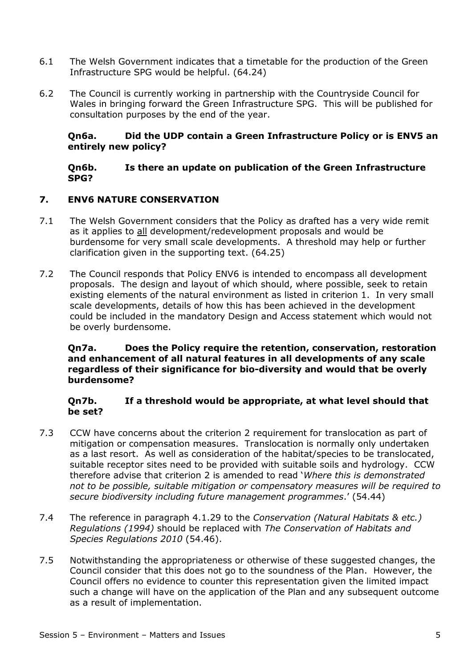- 6.1 The Welsh Government indicates that a timetable for the production of the Green Infrastructure SPG would be helpful. (64.24)
- 6.2 The Council is currently working in partnership with the Countryside Council for Wales in bringing forward the Green Infrastructure SPG. This will be published for consultation purposes by the end of the year.

## **Qn6a. Did the UDP contain a Green Infrastructure Policy or is ENV5 an entirely new policy?**

# **Qn6b. Is there an update on publication of the Green Infrastructure SPG?**

# **7. ENV6 NATURE CONSERVATION**

- 7.1 The Welsh Government considers that the Policy as drafted has a very wide remit as it applies to all development/redevelopment proposals and would be burdensome for very small scale developments. A threshold may help or further clarification given in the supporting text. (64.25)
- 7.2 The Council responds that Policy ENV6 is intended to encompass all development proposals. The design and layout of which should, where possible, seek to retain existing elements of the natural environment as listed in criterion 1. In very small scale developments, details of how this has been achieved in the development could be included in the mandatory Design and Access statement which would not be overly burdensome.

#### **Qn7a. Does the Policy require the retention, conservation, restoration and enhancement of all natural features in all developments of any scale regardless of their significance for bio-diversity and would that be overly burdensome?**

## **Qn7b. If a threshold would be appropriate, at what level should that be set?**

- 7.3 CCW have concerns about the criterion 2 requirement for translocation as part of mitigation or compensation measures. Translocation is normally only undertaken as a last resort. As well as consideration of the habitat/species to be translocated, suitable receptor sites need to be provided with suitable soils and hydrology. CCW therefore advise that criterion 2 is amended to read '*Where this is demonstrated not to be possible, suitable mitigation or compensatory measures will be required to secure biodiversity including future management programmes*.' (54.44)
- 7.4 The reference in paragraph 4.1.29 to the *Conservation (Natural Habitats & etc.) Regulations (1994)* should be replaced with *The Conservation of Habitats and Species Regulations 2010* (54.46).
- 7.5 Notwithstanding the appropriateness or otherwise of these suggested changes, the Council consider that this does not go to the soundness of the Plan. However, the Council offers no evidence to counter this representation given the limited impact such a change will have on the application of the Plan and any subsequent outcome as a result of implementation.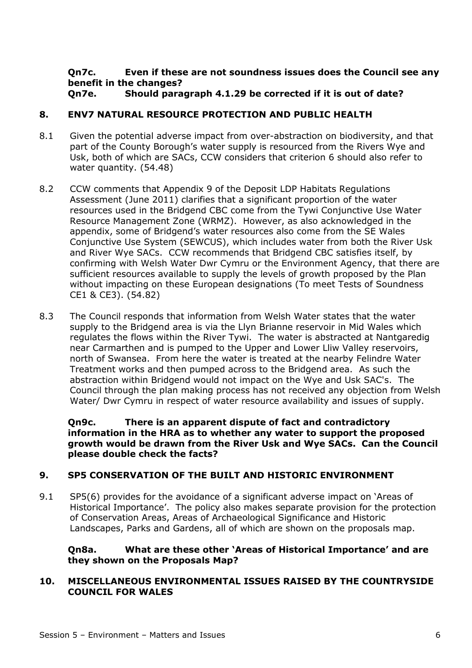#### **Qn7c. Even if these are not soundness issues does the Council see any benefit in the changes? Qn7e. Should paragraph 4.1.29 be corrected if it is out of date?**

# **8. ENV7 NATURAL RESOURCE PROTECTION AND PUBLIC HEALTH**

- 8.1 Given the potential adverse impact from over-abstraction on biodiversity, and that part of the County Borough's water supply is resourced from the Rivers Wye and Usk, both of which are SACs, CCW considers that criterion 6 should also refer to water quantity. (54.48)
- 8.2 CCW comments that Appendix 9 of the Deposit LDP Habitats Regulations Assessment (June 2011) clarifies that a significant proportion of the water resources used in the Bridgend CBC come from the Tywi Conjunctive Use Water Resource Management Zone (WRMZ). However, as also acknowledged in the appendix, some of Bridgend's water resources also come from the SE Wales Conjunctive Use System (SEWCUS), which includes water from both the River Usk and River Wye SACs. CCW recommends that Bridgend CBC satisfies itself, by confirming with Welsh Water Dwr Cymru or the Environment Agency, that there are sufficient resources available to supply the levels of growth proposed by the Plan without impacting on these European designations (To meet Tests of Soundness CE1 & CE3). (54.82)
- 8.3 The Council responds that information from Welsh Water states that the water supply to the Bridgend area is via the Llyn Brianne reservoir in Mid Wales which regulates the flows within the River Tywi. The water is abstracted at Nantgaredig near Carmarthen and is pumped to the Upper and Lower Lliw Valley reservoirs, north of Swansea. From here the water is treated at the nearby Felindre Water Treatment works and then pumped across to the Bridgend area. As such the abstraction within Bridgend would not impact on the Wye and Usk SAC's. The Council through the plan making process has not received any objection from Welsh Water/ Dwr Cymru in respect of water resource availability and issues of supply.

**Qn9c. There is an apparent dispute of fact and contradictory information in the HRA as to whether any water to support the proposed growth would be drawn from the River Usk and Wye SACs. Can the Council please double check the facts?** 

## **9. SP5 CONSERVATION OF THE BUILT AND HISTORIC ENVIRONMENT**

9.1 SP5(6) provides for the avoidance of a significant adverse impact on 'Areas of Historical Importance'. The policy also makes separate provision for the protection of Conservation Areas, Areas of Archaeological Significance and Historic Landscapes, Parks and Gardens, all of which are shown on the proposals map.

## **Qn8a. What are these other 'Areas of Historical Importance' and are they shown on the Proposals Map?**

#### **10. MISCELLANEOUS ENVIRONMENTAL ISSUES RAISED BY THE COUNTRYSIDE COUNCIL FOR WALES**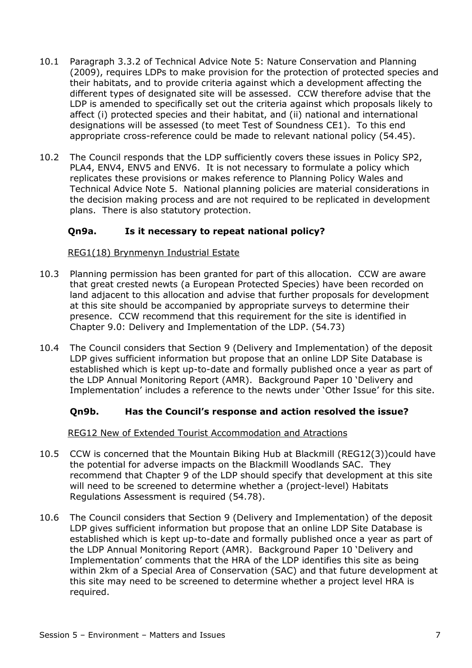- 10.1 Paragraph 3.3.2 of Technical Advice Note 5: Nature Conservation and Planning (2009), requires LDPs to make provision for the protection of protected species and their habitats, and to provide criteria against which a development affecting the different types of designated site will be assessed. CCW therefore advise that the LDP is amended to specifically set out the criteria against which proposals likely to affect (i) protected species and their habitat, and (ii) national and international designations will be assessed (to meet Test of Soundness CE1). To this end appropriate cross-reference could be made to relevant national policy (54.45).
- 10.2 The Council responds that the LDP sufficiently covers these issues in Policy SP2, PLA4, ENV4, ENV5 and ENV6. It is not necessary to formulate a policy which replicates these provisions or makes reference to Planning Policy Wales and Technical Advice Note 5. National planning policies are material considerations in the decision making process and are not required to be replicated in development plans. There is also statutory protection.

# **Qn9a. Is it necessary to repeat national policy?**

#### REG1(18) Brynmenyn Industrial Estate

- 10.3 Planning permission has been granted for part of this allocation. CCW are aware that great crested newts (a European Protected Species) have been recorded on land adjacent to this allocation and advise that further proposals for development at this site should be accompanied by appropriate surveys to determine their presence. CCW recommend that this requirement for the site is identified in Chapter 9.0: Delivery and Implementation of the LDP. (54.73)
- 10.4 The Council considers that Section 9 (Delivery and Implementation) of the deposit LDP gives sufficient information but propose that an online LDP Site Database is established which is kept up-to-date and formally published once a year as part of the LDP Annual Monitoring Report (AMR). Background Paper 10 'Delivery and Implementation' includes a reference to the newts under 'Other Issue' for this site.

## **Qn9b. Has the Council's response and action resolved the issue?**

## REG12 New of Extended Tourist Accommodation and Atractions

- 10.5 CCW is concerned that the Mountain Biking Hub at Blackmill (REG12(3))could have the potential for adverse impacts on the Blackmill Woodlands SAC. They recommend that Chapter 9 of the LDP should specify that development at this site will need to be screened to determine whether a (project-level) Habitats Regulations Assessment is required (54.78).
- 10.6 The Council considers that Section 9 (Delivery and Implementation) of the deposit LDP gives sufficient information but propose that an online LDP Site Database is established which is kept up-to-date and formally published once a year as part of the LDP Annual Monitoring Report (AMR). Background Paper 10 'Delivery and Implementation' comments that the HRA of the LDP identifies this site as being within 2km of a Special Area of Conservation (SAC) and that future development at this site may need to be screened to determine whether a project level HRA is required.